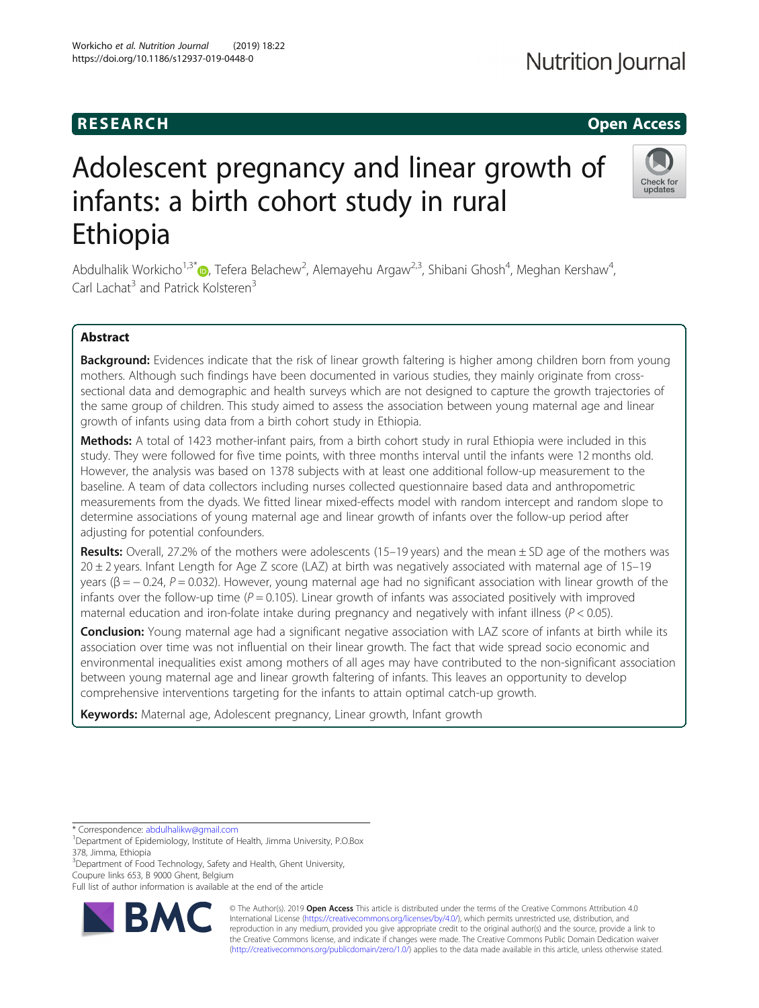# **RESEARCH CHILD CONTROL** CONTROL CONTROL CONTROL CONTROL CONTROL CONTROL CONTROL CONTROL CONTROL CONTROL CONTROL

# Adolescent pregnancy and linear growth of infants: a birth cohort study in rural Ethiopia

Abdulhalik Workicho<sup>1[,](http://orcid.org/0000-0001-8422-1983)3\*</sup>®, Tefera Belachew<sup>2</sup>, Alemayehu Argaw<sup>2,3</sup>, Shibani Ghosh<sup>4</sup>, Meghan Kershaw<sup>4</sup> , Carl Lachat<sup>3</sup> and Patrick Kolsteren<sup>3</sup>

# Abstract

Background: Evidences indicate that the risk of linear growth faltering is higher among children born from young mothers. Although such findings have been documented in various studies, they mainly originate from crosssectional data and demographic and health surveys which are not designed to capture the growth trajectories of the same group of children. This study aimed to assess the association between young maternal age and linear growth of infants using data from a birth cohort study in Ethiopia.

Methods: A total of 1423 mother-infant pairs, from a birth cohort study in rural Ethiopia were included in this study. They were followed for five time points, with three months interval until the infants were 12 months old. However, the analysis was based on 1378 subjects with at least one additional follow-up measurement to the baseline. A team of data collectors including nurses collected questionnaire based data and anthropometric measurements from the dyads. We fitted linear mixed-effects model with random intercept and random slope to determine associations of young maternal age and linear growth of infants over the follow-up period after adjusting for potential confounders.

**Results:** Overall, 27.2% of the mothers were adolescents (15–19 years) and the mean  $\pm$  SD age of the mothers was  $20 \pm 2$  years. Infant Length for Age Z score (LAZ) at birth was negatively associated with maternal age of 15–19 years (β = -0.24, P = 0.032). However, young maternal age had no significant association with linear growth of the infants over the follow-up time ( $P = 0.105$ ). Linear growth of infants was associated positively with improved maternal education and iron-folate intake during pregnancy and negatively with infant illness ( $P < 0.05$ ).

Conclusion: Young maternal age had a significant negative association with LAZ score of infants at birth while its association over time was not influential on their linear growth. The fact that wide spread socio economic and environmental inequalities exist among mothers of all ages may have contributed to the non-significant association between young maternal age and linear growth faltering of infants. This leaves an opportunity to develop comprehensive interventions targeting for the infants to attain optimal catch-up growth.

Keywords: Maternal age, Adolescent pregnancy, Linear growth, Infant growth

RA

<sup>3</sup>Department of Food Technology, Safety and Health, Ghent University, Coupure links 653, B 9000 Ghent, Belgium





<sup>\*</sup> Correspondence: [abdulhalikw@gmail.com](mailto:abdulhalikw@gmail.com) <sup>1</sup>

Department of Epidemiology, Institute of Health, Jimma University, P.O.Box 378, Jimma, Ethiopia

Full list of author information is available at the end of the article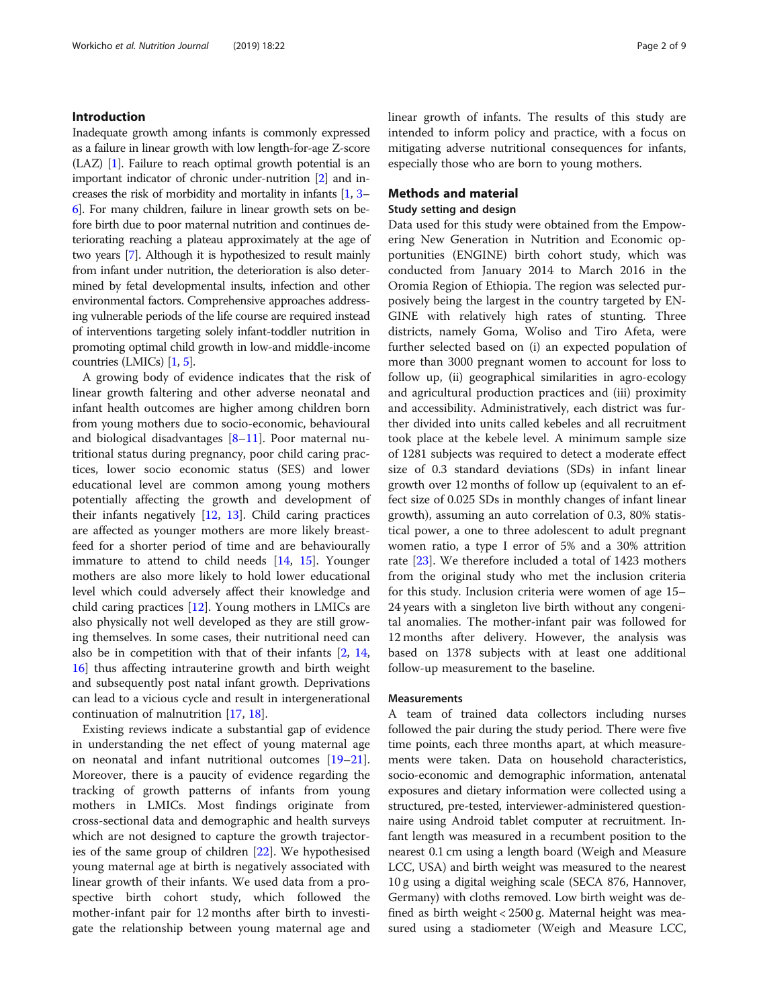#### Introduction

Inadequate growth among infants is commonly expressed as a failure in linear growth with low length-for-age Z-score (LAZ) [\[1](#page-7-0)]. Failure to reach optimal growth potential is an important indicator of chronic under-nutrition [\[2\]](#page-7-0) and increases the risk of morbidity and mortality in infants [\[1,](#page-7-0) [3](#page-7-0)– [6](#page-7-0)]. For many children, failure in linear growth sets on before birth due to poor maternal nutrition and continues deteriorating reaching a plateau approximately at the age of two years [\[7\]](#page-7-0). Although it is hypothesized to result mainly from infant under nutrition, the deterioration is also determined by fetal developmental insults, infection and other environmental factors. Comprehensive approaches addressing vulnerable periods of the life course are required instead of interventions targeting solely infant-toddler nutrition in promoting optimal child growth in low-and middle-income countries (LMICs) [\[1](#page-7-0), [5](#page-7-0)].

A growing body of evidence indicates that the risk of linear growth faltering and other adverse neonatal and infant health outcomes are higher among children born from young mothers due to socio-economic, behavioural and biological disadvantages [\[8](#page-7-0)–[11\]](#page-7-0). Poor maternal nutritional status during pregnancy, poor child caring practices, lower socio economic status (SES) and lower educational level are common among young mothers potentially affecting the growth and development of their infants negatively [\[12,](#page-7-0) [13\]](#page-7-0). Child caring practices are affected as younger mothers are more likely breastfeed for a shorter period of time and are behaviourally immature to attend to child needs [[14,](#page-7-0) [15](#page-7-0)]. Younger mothers are also more likely to hold lower educational level which could adversely affect their knowledge and child caring practices [[12](#page-7-0)]. Young mothers in LMICs are also physically not well developed as they are still growing themselves. In some cases, their nutritional need can also be in competition with that of their infants [\[2](#page-7-0), [14](#page-7-0), [16\]](#page-7-0) thus affecting intrauterine growth and birth weight and subsequently post natal infant growth. Deprivations can lead to a vicious cycle and result in intergenerational continuation of malnutrition [\[17](#page-7-0), [18\]](#page-7-0).

Existing reviews indicate a substantial gap of evidence in understanding the net effect of young maternal age on neonatal and infant nutritional outcomes [[19](#page-7-0)–[21](#page-7-0)]. Moreover, there is a paucity of evidence regarding the tracking of growth patterns of infants from young mothers in LMICs. Most findings originate from cross-sectional data and demographic and health surveys which are not designed to capture the growth trajectories of the same group of children [[22](#page-7-0)]. We hypothesised young maternal age at birth is negatively associated with linear growth of their infants. We used data from a prospective birth cohort study, which followed the mother-infant pair for 12 months after birth to investigate the relationship between young maternal age and linear growth of infants. The results of this study are intended to inform policy and practice, with a focus on mitigating adverse nutritional consequences for infants, especially those who are born to young mothers.

#### Methods and material

#### Study setting and design

Data used for this study were obtained from the Empowering New Generation in Nutrition and Economic opportunities (ENGINE) birth cohort study, which was conducted from January 2014 to March 2016 in the Oromia Region of Ethiopia. The region was selected purposively being the largest in the country targeted by EN-GINE with relatively high rates of stunting. Three districts, namely Goma, Woliso and Tiro Afeta, were further selected based on (i) an expected population of more than 3000 pregnant women to account for loss to follow up, (ii) geographical similarities in agro-ecology and agricultural production practices and (iii) proximity and accessibility. Administratively, each district was further divided into units called kebeles and all recruitment took place at the kebele level. A minimum sample size of 1281 subjects was required to detect a moderate effect size of 0.3 standard deviations (SDs) in infant linear growth over 12 months of follow up (equivalent to an effect size of 0.025 SDs in monthly changes of infant linear growth), assuming an auto correlation of 0.3, 80% statistical power, a one to three adolescent to adult pregnant women ratio, a type I error of 5% and a 30% attrition rate [[23\]](#page-7-0). We therefore included a total of 1423 mothers from the original study who met the inclusion criteria for this study. Inclusion criteria were women of age 15– 24 years with a singleton live birth without any congenital anomalies. The mother-infant pair was followed for 12 months after delivery. However, the analysis was based on 1378 subjects with at least one additional follow-up measurement to the baseline.

#### **Measurements**

A team of trained data collectors including nurses followed the pair during the study period. There were five time points, each three months apart, at which measurements were taken. Data on household characteristics, socio-economic and demographic information, antenatal exposures and dietary information were collected using a structured, pre-tested, interviewer-administered questionnaire using Android tablet computer at recruitment. Infant length was measured in a recumbent position to the nearest 0.1 cm using a length board (Weigh and Measure LCC, USA) and birth weight was measured to the nearest 10 g using a digital weighing scale (SECA 876, Hannover, Germany) with cloths removed. Low birth weight was defined as birth weight < 2500 g. Maternal height was measured using a stadiometer (Weigh and Measure LCC,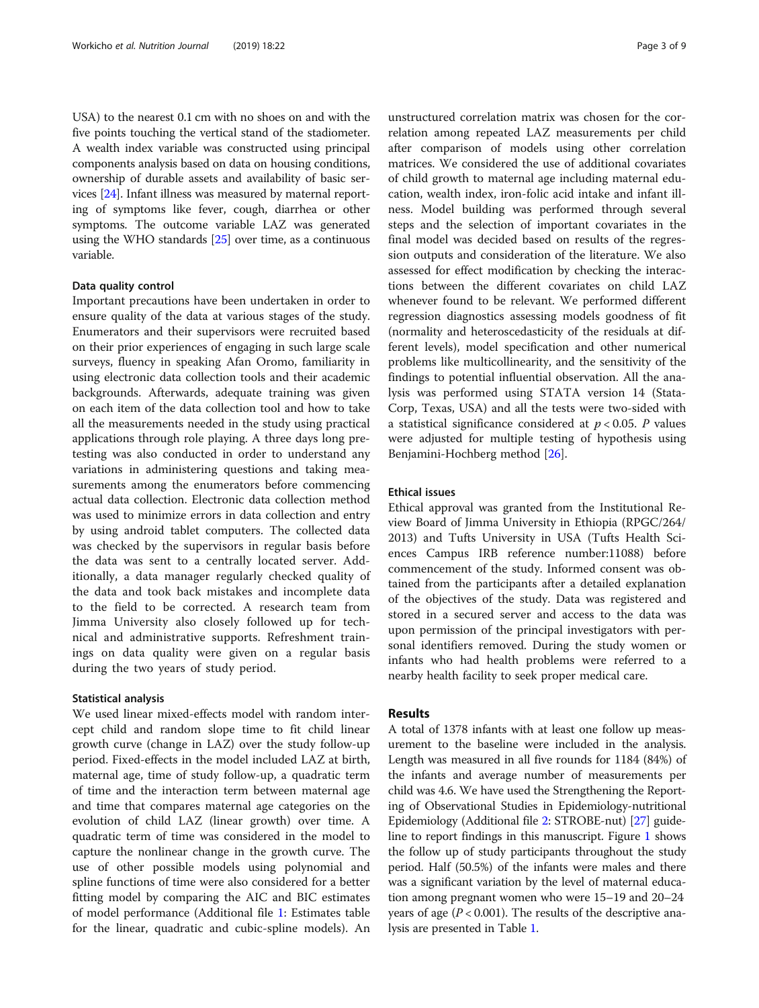USA) to the nearest 0.1 cm with no shoes on and with the five points touching the vertical stand of the stadiometer. A wealth index variable was constructed using principal components analysis based on data on housing conditions, ownership of durable assets and availability of basic services [[24](#page-7-0)]. Infant illness was measured by maternal reporting of symptoms like fever, cough, diarrhea or other symptoms. The outcome variable LAZ was generated using the WHO standards  $[25]$  $[25]$  $[25]$  over time, as a continuous variable.

#### Data quality control

Important precautions have been undertaken in order to ensure quality of the data at various stages of the study. Enumerators and their supervisors were recruited based on their prior experiences of engaging in such large scale surveys, fluency in speaking Afan Oromo, familiarity in using electronic data collection tools and their academic backgrounds. Afterwards, adequate training was given on each item of the data collection tool and how to take all the measurements needed in the study using practical applications through role playing. A three days long pretesting was also conducted in order to understand any variations in administering questions and taking measurements among the enumerators before commencing actual data collection. Electronic data collection method was used to minimize errors in data collection and entry by using android tablet computers. The collected data was checked by the supervisors in regular basis before the data was sent to a centrally located server. Additionally, a data manager regularly checked quality of the data and took back mistakes and incomplete data to the field to be corrected. A research team from Jimma University also closely followed up for technical and administrative supports. Refreshment trainings on data quality were given on a regular basis during the two years of study period.

#### Statistical analysis

We used linear mixed-effects model with random intercept child and random slope time to fit child linear growth curve (change in LAZ) over the study follow-up period. Fixed-effects in the model included LAZ at birth, maternal age, time of study follow-up, a quadratic term of time and the interaction term between maternal age and time that compares maternal age categories on the evolution of child LAZ (linear growth) over time. A quadratic term of time was considered in the model to capture the nonlinear change in the growth curve. The use of other possible models using polynomial and spline functions of time were also considered for a better fitting model by comparing the AIC and BIC estimates of model performance (Additional file [1:](#page-6-0) Estimates table for the linear, quadratic and cubic-spline models). An

unstructured correlation matrix was chosen for the correlation among repeated LAZ measurements per child after comparison of models using other correlation matrices. We considered the use of additional covariates of child growth to maternal age including maternal education, wealth index, iron-folic acid intake and infant illness. Model building was performed through several steps and the selection of important covariates in the final model was decided based on results of the regression outputs and consideration of the literature. We also assessed for effect modification by checking the interactions between the different covariates on child LAZ whenever found to be relevant. We performed different regression diagnostics assessing models goodness of fit (normality and heteroscedasticity of the residuals at different levels), model specification and other numerical problems like multicollinearity, and the sensitivity of the findings to potential influential observation. All the analysis was performed using STATA version 14 (Stata-Corp, Texas, USA) and all the tests were two-sided with a statistical significance considered at  $p < 0.05$ . P values were adjusted for multiple testing of hypothesis using Benjamini-Hochberg method [\[26](#page-7-0)].

### Ethical issues

Ethical approval was granted from the Institutional Review Board of Jimma University in Ethiopia (RPGC/264/ 2013) and Tufts University in USA (Tufts Health Sciences Campus IRB reference number:11088) before commencement of the study. Informed consent was obtained from the participants after a detailed explanation of the objectives of the study. Data was registered and stored in a secured server and access to the data was upon permission of the principal investigators with personal identifiers removed. During the study women or infants who had health problems were referred to a nearby health facility to seek proper medical care.

#### Results

A total of 1378 infants with at least one follow up measurement to the baseline were included in the analysis. Length was measured in all five rounds for 1184 (84%) of the infants and average number of measurements per child was 4.6. We have used the Strengthening the Reporting of Observational Studies in Epidemiology-nutritional Epidemiology (Additional file [2](#page-6-0): STROBE-nut) [[27](#page-7-0)] guideline to report findings in this manuscript. Figure [1](#page-3-0) shows the follow up of study participants throughout the study period. Half (50.5%) of the infants were males and there was a significant variation by the level of maternal education among pregnant women who were 15–19 and 20–24 years of age ( $P < 0.001$ ). The results of the descriptive analysis are presented in Table [1.](#page-4-0)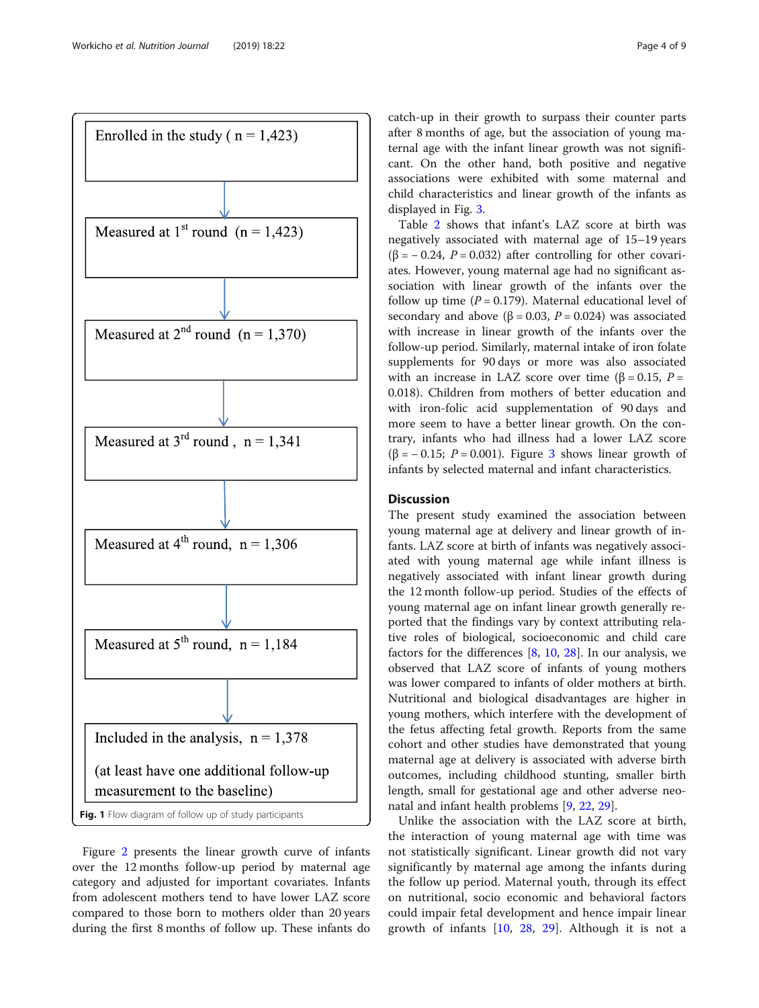<span id="page-3-0"></span>

Figure [2](#page-4-0) presents the linear growth curve of infants over the 12 months follow-up period by maternal age category and adjusted for important covariates. Infants from adolescent mothers tend to have lower LAZ score compared to those born to mothers older than 20 years during the first 8 months of follow up. These infants do catch-up in their growth to surpass their counter parts after 8 months of age, but the association of young maternal age with the infant linear growth was not significant. On the other hand, both positive and negative associations were exhibited with some maternal and child characteristics and linear growth of the infants as displayed in Fig. [3.](#page-5-0)

Table [2](#page-6-0) shows that infant's LAZ score at birth was negatively associated with maternal age of 15–19 years ( $\beta$  = -0.24, P = 0.032) after controlling for other covariates. However, young maternal age had no significant association with linear growth of the infants over the follow up time  $(P = 0.179)$ . Maternal educational level of secondary and above ( $\beta$  = 0.03,  $P$  = 0.024) was associated with increase in linear growth of the infants over the follow-up period. Similarly, maternal intake of iron folate supplements for 90 days or more was also associated with an increase in LAZ score over time ( $\beta$  = 0.15, P = 0.018). Children from mothers of better education and with iron-folic acid supplementation of 90 days and more seem to have a better linear growth. On the contrary, infants who had illness had a lower LAZ score ( $\beta$  = -0.15; P = 0.001). Figure [3](#page-5-0) shows linear growth of infants by selected maternal and infant characteristics.

# Discussion

The present study examined the association between young maternal age at delivery and linear growth of infants. LAZ score at birth of infants was negatively associated with young maternal age while infant illness is negatively associated with infant linear growth during the 12 month follow-up period. Studies of the effects of young maternal age on infant linear growth generally reported that the findings vary by context attributing relative roles of biological, socioeconomic and child care factors for the differences [\[8,](#page-7-0) [10](#page-7-0), [28\]](#page-7-0). In our analysis, we observed that LAZ score of infants of young mothers was lower compared to infants of older mothers at birth. Nutritional and biological disadvantages are higher in young mothers, which interfere with the development of the fetus affecting fetal growth. Reports from the same cohort and other studies have demonstrated that young maternal age at delivery is associated with adverse birth outcomes, including childhood stunting, smaller birth length, small for gestational age and other adverse neonatal and infant health problems [[9,](#page-7-0) [22](#page-7-0), [29](#page-7-0)].

Unlike the association with the LAZ score at birth, the interaction of young maternal age with time was not statistically significant. Linear growth did not vary significantly by maternal age among the infants during the follow up period. Maternal youth, through its effect on nutritional, socio economic and behavioral factors could impair fetal development and hence impair linear growth of infants [\[10](#page-7-0), [28,](#page-7-0) [29\]](#page-7-0). Although it is not a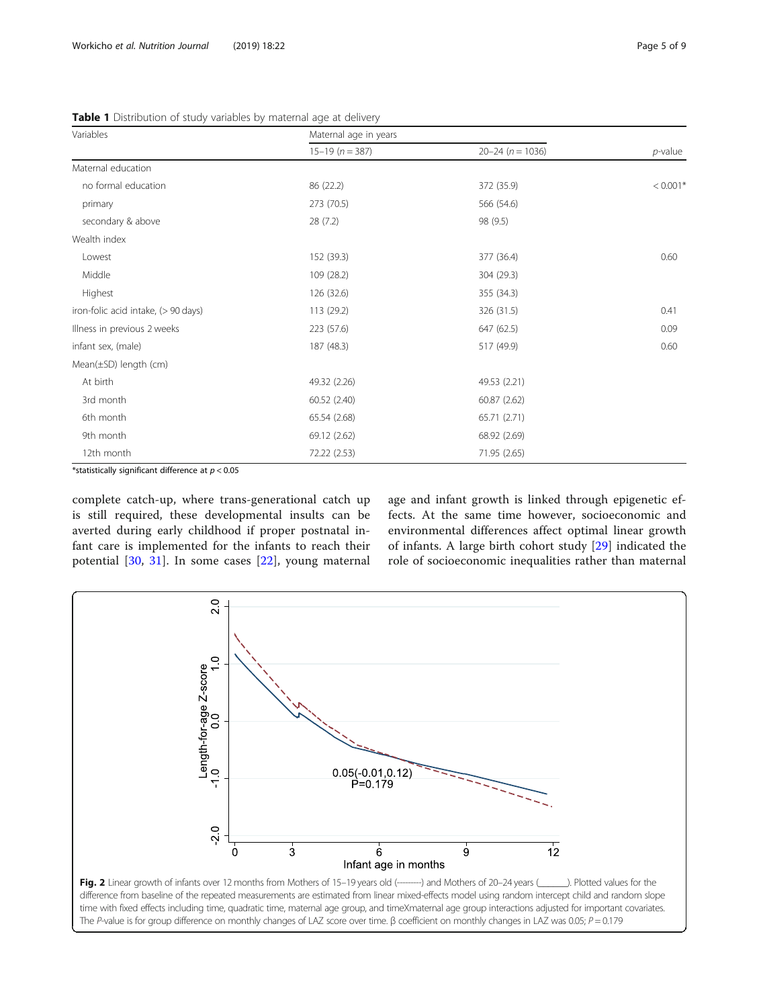| Variables                           | Maternal age in years |                      |            |
|-------------------------------------|-----------------------|----------------------|------------|
|                                     | $15-19$ ( $n = 387$ ) | $20 - 24 (n = 1036)$ | $p$ -value |
| Maternal education                  |                       |                      |            |
| no formal education                 | 86 (22.2)             | 372 (35.9)           | $< 0.001*$ |
| primary                             | 273 (70.5)            | 566 (54.6)           |            |
| secondary & above                   | 28(7.2)               | 98 (9.5)             |            |
| Wealth index                        |                       |                      |            |
| Lowest                              | 152 (39.3)            | 377 (36.4)           | 0.60       |
| Middle                              | 109 (28.2)            | 304 (29.3)           |            |
| Highest                             | 126 (32.6)            | 355 (34.3)           |            |
| iron-folic acid intake, (> 90 days) | 113 (29.2)            | 326 (31.5)           | 0.41       |
| Illness in previous 2 weeks         | 223 (57.6)            | 647 (62.5)           | 0.09       |
| infant sex, (male)                  | 187 (48.3)            | 517 (49.9)           | 0.60       |
| $Mean(\pm SD)$ length (cm)          |                       |                      |            |
| At birth                            | 49.32 (2.26)          | 49.53 (2.21)         |            |
| 3rd month                           | 60.52 (2.40)          | 60.87 (2.62)         |            |
| 6th month                           | 65.54 (2.68)          | 65.71 (2.71)         |            |
| 9th month                           | 69.12 (2.62)          | 68.92 (2.69)         |            |
| 12th month                          | 72.22 (2.53)          | 71.95 (2.65)         |            |

<span id="page-4-0"></span>Table 1 Distribution of study variables by maternal age at delivery

\*statistically significant difference at  $p < 0.05$ 

complete catch-up, where trans-generational catch up is still required, these developmental insults can be averted during early childhood if proper postnatal infant care is implemented for the infants to reach their potential [[30,](#page-8-0) [31](#page-8-0)]. In some cases [[22\]](#page-7-0), young maternal age and infant growth is linked through epigenetic effects. At the same time however, socioeconomic and environmental differences affect optimal linear growth of infants. A large birth cohort study [\[29](#page-7-0)] indicated the role of socioeconomic inequalities rather than maternal

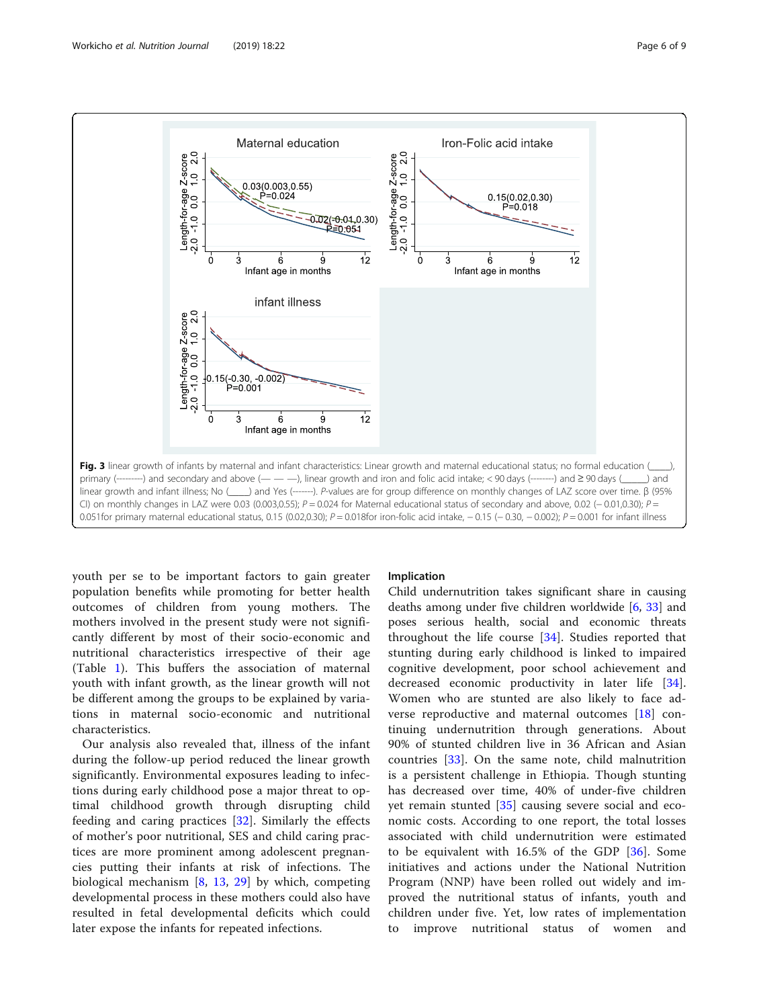<span id="page-5-0"></span>

youth per se to be important factors to gain greater population benefits while promoting for better health outcomes of children from young mothers. The mothers involved in the present study were not significantly different by most of their socio-economic and nutritional characteristics irrespective of their age (Table [1\)](#page-4-0). This buffers the association of maternal youth with infant growth, as the linear growth will not be different among the groups to be explained by variations in maternal socio-economic and nutritional characteristics.

Our analysis also revealed that, illness of the infant during the follow-up period reduced the linear growth significantly. Environmental exposures leading to infections during early childhood pose a major threat to optimal childhood growth through disrupting child feeding and caring practices [[32\]](#page-8-0). Similarly the effects of mother's poor nutritional, SES and child caring practices are more prominent among adolescent pregnancies putting their infants at risk of infections. The biological mechanism [[8,](#page-7-0) [13](#page-7-0), [29\]](#page-7-0) by which, competing developmental process in these mothers could also have resulted in fetal developmental deficits which could later expose the infants for repeated infections.

#### Implication

Child undernutrition takes significant share in causing deaths among under five children worldwide [[6,](#page-7-0) [33\]](#page-8-0) and poses serious health, social and economic threats throughout the life course [[34\]](#page-8-0). Studies reported that stunting during early childhood is linked to impaired cognitive development, poor school achievement and decreased economic productivity in later life [\[34](#page-8-0)]. Women who are stunted are also likely to face adverse reproductive and maternal outcomes [\[18](#page-7-0)] continuing undernutrition through generations. About 90% of stunted children live in 36 African and Asian countries [[33\]](#page-8-0). On the same note, child malnutrition is a persistent challenge in Ethiopia. Though stunting has decreased over time, 40% of under-five children yet remain stunted [\[35](#page-8-0)] causing severe social and economic costs. According to one report, the total losses associated with child undernutrition were estimated to be equivalent with 16.5% of the GDP [[36\]](#page-8-0). Some initiatives and actions under the National Nutrition Program (NNP) have been rolled out widely and improved the nutritional status of infants, youth and children under five. Yet, low rates of implementation to improve nutritional status of women and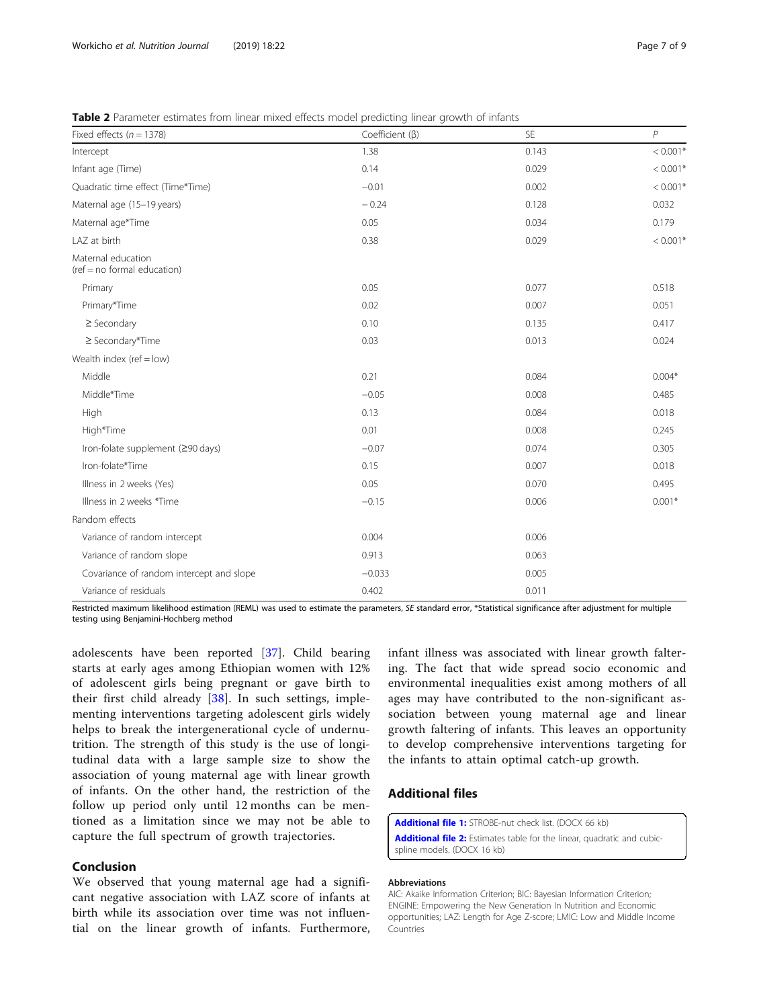<span id="page-6-0"></span>Table 2 Parameter estimates from linear mixed effects model predicting linear growth of infants

| Fixed effects ( $n = 1378$ )                        | Coefficient ( $\beta$ ) | SE    | $\overline{P}$ |
|-----------------------------------------------------|-------------------------|-------|----------------|
| Intercept                                           | 1.38                    | 0.143 | $< 0.001*$     |
| Infant age (Time)                                   | 0.14                    | 0.029 | $< 0.001*$     |
| Quadratic time effect (Time*Time)                   | $-0.01$                 | 0.002 | $< 0.001*$     |
| Maternal age (15-19 years)                          | $-0.24$                 | 0.128 | 0.032          |
| Maternal age*Time                                   | 0.05                    | 0.034 | 0.179          |
| LAZ at birth                                        | 0.38                    | 0.029 | $< 0.001*$     |
| Maternal education<br>$(ref = no$ formal education) |                         |       |                |
| Primary                                             | 0.05                    | 0.077 | 0.518          |
| Primary*Time                                        | 0.02                    | 0.007 | 0.051          |
| $\geq$ Secondary                                    | 0.10                    | 0.135 | 0.417          |
| ≥ Secondary*Time                                    | 0.03                    | 0.013 | 0.024          |
| Wealth index ( $ref = low$ )                        |                         |       |                |
| Middle                                              | 0.21                    | 0.084 | $0.004*$       |
| Middle*Time                                         | $-0.05$                 | 0.008 | 0.485          |
| High                                                | 0.13                    | 0.084 | 0.018          |
| High*Time                                           | 0.01                    | 0.008 | 0.245          |
| Iron-folate supplement (≥90 days)                   | $-0.07$                 | 0.074 | 0.305          |
| Iron-folate*Time                                    | 0.15                    | 0.007 | 0.018          |
| Illness in 2 weeks (Yes)                            | 0.05                    | 0.070 | 0.495          |
| Illness in 2 weeks *Time                            | $-0.15$                 | 0.006 | $0.001*$       |
| Random effects                                      |                         |       |                |
| Variance of random intercept                        | 0.004                   | 0.006 |                |
| Variance of random slope                            | 0.913                   | 0.063 |                |
| Covariance of random intercept and slope            | $-0.033$                | 0.005 |                |
| Variance of residuals                               | 0.402                   | 0.011 |                |

Restricted maximum likelihood estimation (REML) was used to estimate the parameters, SE standard error, \*Statistical significance after adjustment for multiple testing using Benjamini-Hochberg method

adolescents have been reported [\[37](#page-8-0)]. Child bearing starts at early ages among Ethiopian women with 12% of adolescent girls being pregnant or gave birth to their first child already [[38](#page-8-0)]. In such settings, implementing interventions targeting adolescent girls widely helps to break the intergenerational cycle of undernutrition. The strength of this study is the use of longitudinal data with a large sample size to show the association of young maternal age with linear growth of infants. On the other hand, the restriction of the follow up period only until 12 months can be mentioned as a limitation since we may not be able to capture the full spectrum of growth trajectories.

#### Conclusion

We observed that young maternal age had a significant negative association with LAZ score of infants at birth while its association over time was not influential on the linear growth of infants. Furthermore, infant illness was associated with linear growth faltering. The fact that wide spread socio economic and environmental inequalities exist among mothers of all ages may have contributed to the non-significant association between young maternal age and linear growth faltering of infants. This leaves an opportunity to develop comprehensive interventions targeting for the infants to attain optimal catch-up growth.

# Additional files

[Additional file 1:](https://doi.org/10.1186/s12937-019-0448-0) STROBE-nut check list. (DOCX 66 kb) [Additional file 2:](https://doi.org/10.1186/s12937-019-0448-0) Estimates table for the linear, quadratic and cubicspline models. (DOCX 16 kb)

#### Abbreviations

AIC: Akaike Information Criterion; BIC: Bayesian Information Criterion; ENGINE: Empowering the New Generation In Nutrition and Economic opportunities; LAZ: Length for Age Z-score; LMIC: Low and Middle Income Countries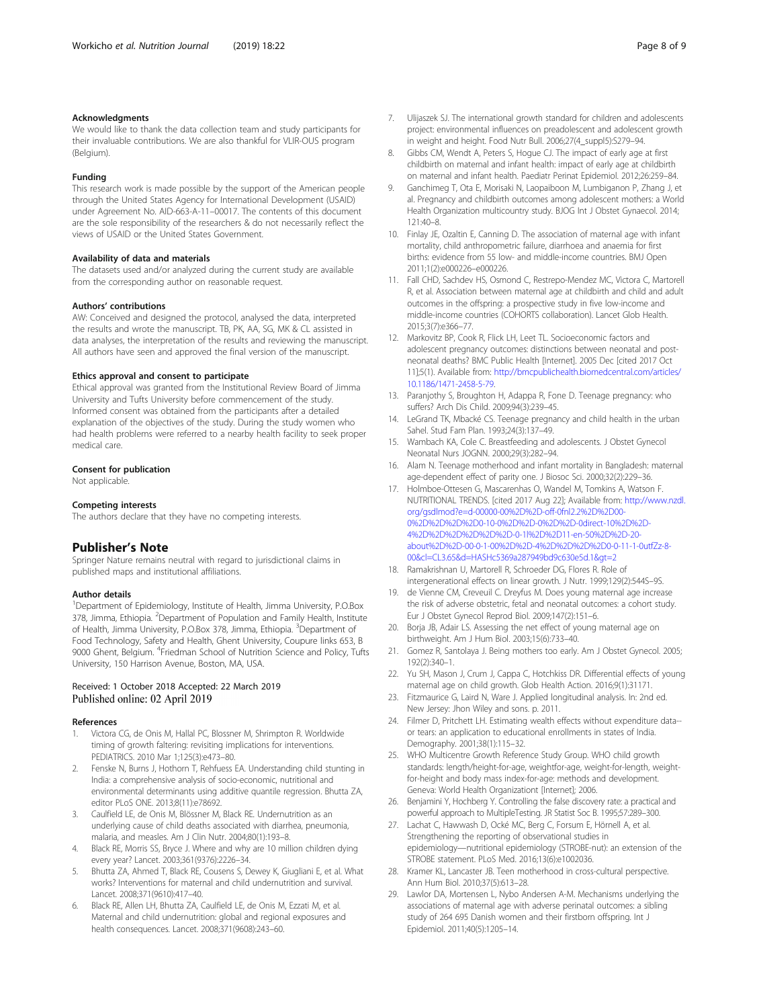#### <span id="page-7-0"></span>Acknowledgments

We would like to thank the data collection team and study participants for their invaluable contributions. We are also thankful for VLIR-OUS program (Belgium).

#### Funding

This research work is made possible by the support of the American people through the United States Agency for International Development (USAID) under Agreement No. AID-663-A-11–00017. The contents of this document are the sole responsibility of the researchers & do not necessarily reflect the views of USAID or the United States Government.

#### Availability of data and materials

The datasets used and/or analyzed during the current study are available from the corresponding author on reasonable request.

#### Authors' contributions

AW: Conceived and designed the protocol, analysed the data, interpreted the results and wrote the manuscript. TB, PK, AA, SG, MK & CL assisted in data analyses, the interpretation of the results and reviewing the manuscript. All authors have seen and approved the final version of the manuscript.

#### Ethics approval and consent to participate

Ethical approval was granted from the Institutional Review Board of Jimma University and Tufts University before commencement of the study. Informed consent was obtained from the participants after a detailed explanation of the objectives of the study. During the study women who had health problems were referred to a nearby health facility to seek proper medical care.

#### Consent for publication

Not applicable.

#### Competing interests

The authors declare that they have no competing interests.

#### Publisher's Note

Springer Nature remains neutral with regard to jurisdictional claims in published maps and institutional affiliations.

#### Author details

<sup>1</sup>Department of Epidemiology, Institute of Health, Jimma University, P.O.Box 378, Jimma, Ethiopia. <sup>2</sup>Department of Population and Family Health, Institute of Health, Jimma University, P.O.Box 378, Jimma, Ethiopia. <sup>3</sup>Department of Food Technology, Safety and Health, Ghent University, Coupure links 653, B 9000 Ghent, Belgium. <sup>4</sup>Friedman School of Nutrition Science and Policy, Tufts University, 150 Harrison Avenue, Boston, MA, USA.

#### Received: 1 October 2018 Accepted: 22 March 2019 Published online: 02 April 2019

#### References

- 1. Victora CG, de Onis M, Hallal PC, Blossner M, Shrimpton R. Worldwide timing of growth faltering: revisiting implications for interventions. PEDIATRICS. 2010 Mar 1;125(3):e473–80.
- 2. Fenske N, Burns J, Hothorn T, Rehfuess EA. Understanding child stunting in India: a comprehensive analysis of socio-economic, nutritional and environmental determinants using additive quantile regression. Bhutta ZA, editor PLoS ONE. 2013;8(11):e78692.
- 3. Caulfield LE, de Onis M, Blössner M, Black RE. Undernutrition as an underlying cause of child deaths associated with diarrhea, pneumonia, malaria, and measles. Am J Clin Nutr. 2004;80(1):193–8.
- 4. Black RE, Morris SS, Bryce J. Where and why are 10 million children dying every year? Lancet. 2003;361(9376):2226–34.
- 5. Bhutta ZA, Ahmed T, Black RE, Cousens S, Dewey K, Giugliani E, et al. What works? Interventions for maternal and child undernutrition and survival. Lancet. 2008;371(9610):417–40.
- 6. Black RE, Allen LH, Bhutta ZA, Caulfield LE, de Onis M, Ezzati M, et al. Maternal and child undernutrition: global and regional exposures and health consequences. Lancet. 2008;371(9608):243–60.
- 7. Ulijaszek SJ. The international growth standard for children and adolescents project: environmental influences on preadolescent and adolescent growth in weight and height. Food Nutr Bull. 2006;27(4\_suppl5):S279-94.
- 8. Gibbs CM, Wendt A, Peters S, Hogue CJ. The impact of early age at first childbirth on maternal and infant health: impact of early age at childbirth on maternal and infant health. Paediatr Perinat Epidemiol. 2012;26:259–84.
- 9. Ganchimeg T, Ota E, Morisaki N, Laopaiboon M, Lumbiganon P, Zhang J, et al. Pregnancy and childbirth outcomes among adolescent mothers: a World Health Organization multicountry study. BJOG Int J Obstet Gynaecol. 2014; 121:40–8.
- 10. Finlay JE, Ozaltin E, Canning D. The association of maternal age with infant mortality, child anthropometric failure, diarrhoea and anaemia for first births: evidence from 55 low- and middle-income countries. BMJ Open 2011;1(2):e000226–e000226.
- 11. Fall CHD, Sachdev HS, Osmond C, Restrepo-Mendez MC, Victora C, Martorell R, et al. Association between maternal age at childbirth and child and adult outcomes in the offspring: a prospective study in five low-income and middle-income countries (COHORTS collaboration). Lancet Glob Health. 2015;3(7):e366–77.
- 12. Markovitz BP, Cook R, Flick LH, Leet TL. Socioeconomic factors and adolescent pregnancy outcomes: distinctions between neonatal and postneonatal deaths? BMC Public Health [Internet]. 2005 Dec [cited 2017 Oct 11];5(1). Available from: [http://bmcpublichealth.biomedcentral.com/articles/](https://bmcpublichealth.biomedcentral.com/articles/10.1186/1471-2458-5-79) [10.1186/1471-2458-5-79.](https://bmcpublichealth.biomedcentral.com/articles/10.1186/1471-2458-5-79)
- 13. Paranjothy S, Broughton H, Adappa R, Fone D. Teenage pregnancy: who suffers? Arch Dis Child. 2009;94(3):239–45.
- 14. LeGrand TK, Mbacké CS. Teenage pregnancy and child health in the urban Sahel. Stud Fam Plan. 1993;24(3):137–49.
- 15. Wambach KA, Cole C. Breastfeeding and adolescents. J Obstet Gynecol Neonatal Nurs JOGNN. 2000;29(3):282–94.
- 16. Alam N. Teenage motherhood and infant mortality in Bangladesh: maternal age-dependent effect of parity one. J Biosoc Sci. 2000;32(2):229–36.
- 17. Holmboe-Ottesen G, Mascarenhas O, Wandel M, Tomkins A, Watson F. NUTRITIONAL TRENDS. [cited 2017 Aug 22]; Available from: [http://www.nzdl.](https://www.nzdl.org/gsdlmod?e=d-00000-00%2D%2D-off-0fnl2.2%2D%2D00-0%2D%2D%2D%2D0-10-0%2D%2D-0%2D%2D-0direct-10%2D%2D-4%2D%2D%2D%2D%2D%2D-0-1l%2D%2D11-en-50%2D%2D-20-about%2D%2D-00-0-1-00%2D%2D-4%2D%2D%2D%2D0-0-11-1-0utfZz-8-00&cl=CL3.65&d=HASHc5369a287949bd9c630e5d.1>=2) [org/gsdlmod?e=d-00000-00%2D%2D-off-0fnl2.2%2D%2D00-](https://www.nzdl.org/gsdlmod?e=d-00000-00%2D%2D-off-0fnl2.2%2D%2D00-0%2D%2D%2D%2D0-10-0%2D%2D-0%2D%2D-0direct-10%2D%2D-4%2D%2D%2D%2D%2D%2D-0-1l%2D%2D11-en-50%2D%2D-20-about%2D%2D-00-0-1-00%2D%2D-4%2D%2D%2D%2D0-0-11-1-0utfZz-8-00&cl=CL3.65&d=HASHc5369a287949bd9c630e5d.1>=2) [0%2D%2D%2D%2D0-10-0%2D%2D-0%2D%2D-0direct-10%2D%2D-](https://www.nzdl.org/gsdlmod?e=d-00000-00%2D%2D-off-0fnl2.2%2D%2D00-0%2D%2D%2D%2D0-10-0%2D%2D-0%2D%2D-0direct-10%2D%2D-4%2D%2D%2D%2D%2D%2D-0-1l%2D%2D11-en-50%2D%2D-20-about%2D%2D-00-0-1-00%2D%2D-4%2D%2D%2D%2D0-0-11-1-0utfZz-8-00&cl=CL3.65&d=HASHc5369a287949bd9c630e5d.1>=2)[4%2D%2D%2D%2D%2D%2D-0-1l%2D%2D11-en-50%2D%2D-20](https://www.nzdl.org/gsdlmod?e=d-00000-00%2D%2D-off-0fnl2.2%2D%2D00-0%2D%2D%2D%2D0-10-0%2D%2D-0%2D%2D-0direct-10%2D%2D-4%2D%2D%2D%2D%2D%2D-0-1l%2D%2D11-en-50%2D%2D-20-about%2D%2D-00-0-1-00%2D%2D-4%2D%2D%2D%2D0-0-11-1-0utfZz-8-00&cl=CL3.65&d=HASHc5369a287949bd9c630e5d.1>=2) [about%2D%2D-00-0-1-00%2D%2D-4%2D%2D%2D%2D0-0-11-1-0utfZz-8-](https://www.nzdl.org/gsdlmod?e=d-00000-00%2D%2D-off-0fnl2.2%2D%2D00-0%2D%2D%2D%2D0-10-0%2D%2D-0%2D%2D-0direct-10%2D%2D-4%2D%2D%2D%2D%2D%2D-0-1l%2D%2D11-en-50%2D%2D-20-about%2D%2D-00-0-1-00%2D%2D-4%2D%2D%2D%2D0-0-11-1-0utfZz-8-00&cl=CL3.65&d=HASHc5369a287949bd9c630e5d.1>=2) [00&cl=CL3.65&d=HASHc5369a287949bd9c630e5d.1&gt=2](https://www.nzdl.org/gsdlmod?e=d-00000-00%2D%2D-off-0fnl2.2%2D%2D00-0%2D%2D%2D%2D0-10-0%2D%2D-0%2D%2D-0direct-10%2D%2D-4%2D%2D%2D%2D%2D%2D-0-1l%2D%2D11-en-50%2D%2D-20-about%2D%2D-00-0-1-00%2D%2D-4%2D%2D%2D%2D0-0-11-1-0utfZz-8-00&cl=CL3.65&d=HASHc5369a287949bd9c630e5d.1>=2)
- 18. Ramakrishnan U, Martorell R, Schroeder DG, Flores R. Role of intergenerational effects on linear growth. J Nutr. 1999;129(2):544S–9S.
- 19. de Vienne CM, Creveuil C. Dreyfus M. Does young maternal age increase the risk of adverse obstetric, fetal and neonatal outcomes: a cohort study. Eur J Obstet Gynecol Reprod Biol. 2009;147(2):151–6.
- 20. Borja JB, Adair LS. Assessing the net effect of young maternal age on birthweight. Am J Hum Biol. 2003;15(6):733–40.
- 21. Gomez R, Santolaya J. Being mothers too early. Am J Obstet Gynecol. 2005; 192(2):340–1.
- 22. Yu SH, Mason J, Crum J, Cappa C, Hotchkiss DR. Differential effects of young maternal age on child growth. Glob Health Action. 2016;9(1):31171.
- 23. Fitzmaurice G, Laird N, Ware J. Applied longitudinal analysis. In: 2nd ed. New Jersey: Jhon Wiley and sons. p. 2011.
- 24. Filmer D, Pritchett LH. Estimating wealth effects without expenditure data- or tears: an application to educational enrollments in states of India. Demography. 2001;38(1):115–32.
- 25. WHO Multicentre Growth Reference Study Group. WHO child growth standards: length/height-for-age, weightfor-age, weight-for-length, weightfor-height and body mass index-for-age: methods and development. Geneva: World Health Organizationt [Internet]; 2006.
- 26. Benjamini Y, Hochberg Y. Controlling the false discovery rate: a practical and powerful approach to MultipleTesting. JR Statist Soc B. 1995;57:289–300.
- 27. Lachat C, Hawwash D, Ocké MC, Berg C, Forsum E, Hörnell A, et al. Strengthening the reporting of observational studies in epidemiology—nutritional epidemiology (STROBE-nut): an extension of the STROBE statement. PLoS Med. 2016;13(6):e1002036.
- 28. Kramer KL, Lancaster JB. Teen motherhood in cross-cultural perspective. Ann Hum Biol. 2010;37(5):613–28.
- 29. Lawlor DA, Mortensen L, Nybo Andersen A-M. Mechanisms underlying the associations of maternal age with adverse perinatal outcomes: a sibling study of 264 695 Danish women and their firstborn offspring. Int J Epidemiol. 2011;40(5):1205–14.